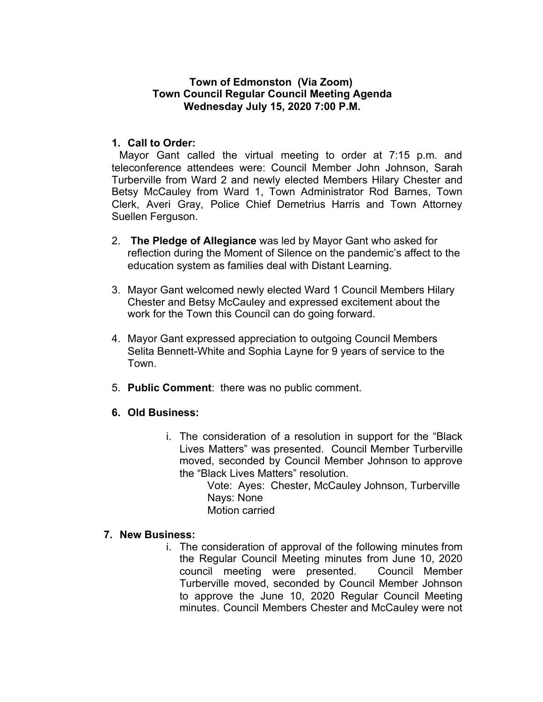# **Town of Edmonston (Via Zoom) Town Council Regular Council Meeting Agenda Wednesday July 15, 2020 7:00 P.M.**

# **1. Call to Order:**

Mayor Gant called the virtual meeting to order at 7:15 p.m. and teleconference attendees were: Council Member John Johnson, Sarah Turberville from Ward 2 and newly elected Members Hilary Chester and Betsy McCauley from Ward 1, Town Administrator Rod Barnes, Town Clerk, Averi Gray, Police Chief Demetrius Harris and Town Attorney Suellen Ferguson.

- 2. **The Pledge of Allegiance** was led by Mayor Gant who asked for reflection during the Moment of Silence on the pandemic's affect to the education system as families deal with Distant Learning.
- 3. Mayor Gant welcomed newly elected Ward 1 Council Members Hilary Chester and Betsy McCauley and expressed excitement about the work for the Town this Council can do going forward.
- 4. Mayor Gant expressed appreciation to outgoing Council Members Selita Bennett-White and Sophia Layne for 9 years of service to the Town.
- 5. **Public Comment**: there was no public comment.
- **6. Old Business:**
	- i. The consideration of a resolution in support for the "Black Lives Matters" was presented. Council Member Turberville moved, seconded by Council Member Johnson to approve the "Black Lives Matters" resolution.
		- Vote: Ayes: Chester, McCauley Johnson, Turberville Nays: None
		- Motion carried

#### **7. New Business:**

i. The consideration of approval of the following minutes from the Regular Council Meeting minutes from June 10, 2020 council meeting were presented. Council Member Turberville moved, seconded by Council Member Johnson to approve the June 10, 2020 Regular Council Meeting minutes. Council Members Chester and McCauley were not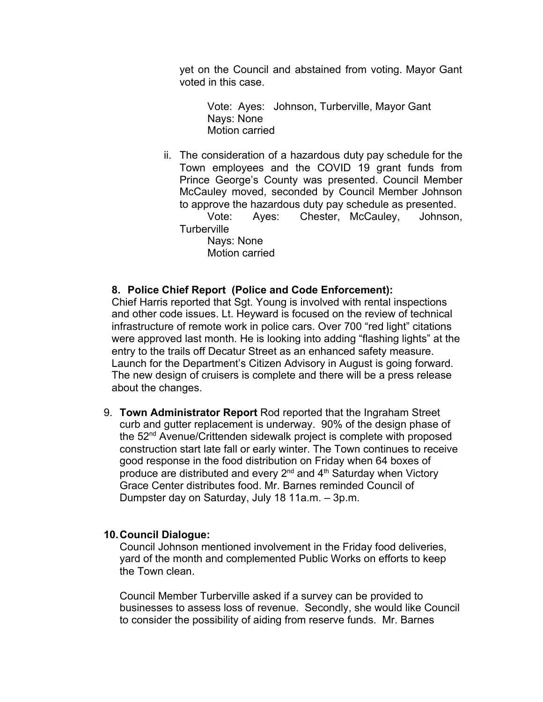yet on the Council and abstained from voting. Mayor Gant voted in this case.

Vote: Ayes: Johnson, Turberville, Mayor Gant Nays: None Motion carried

ii. The consideration of a hazardous duty pay schedule for the Town employees and the COVID 19 grant funds from Prince George's County was presented. Council Member McCauley moved, seconded by Council Member Johnson to approve the hazardous duty pay schedule as presented.

Vote: Ayes: Chester, McCauley, Johnson, **Turberville** 

Nays: None Motion carried

### **8. Police Chief Report (Police and Code Enforcement):**

Chief Harris reported that Sgt. Young is involved with rental inspections and other code issues. Lt. Heyward is focused on the review of technical infrastructure of remote work in police cars. Over 700 "red light" citations were approved last month. He is looking into adding "flashing lights" at the entry to the trails off Decatur Street as an enhanced safety measure. Launch for the Department's Citizen Advisory in August is going forward. The new design of cruisers is complete and there will be a press release about the changes.

9. **Town Administrator Report** Rod reported that the Ingraham Street curb and gutter replacement is underway. 90% of the design phase of the 52<sup>nd</sup> Avenue/Crittenden sidewalk project is complete with proposed construction start late fall or early winter. The Town continues to receive good response in the food distribution on Friday when 64 boxes of produce are distributed and every  $2^{nd}$  and  $4^{th}$  Saturday when Victory Grace Center distributes food. Mr. Barnes reminded Council of Dumpster day on Saturday, July 18 11a.m. – 3p.m.

#### **10.Council Dialogue:**

Council Johnson mentioned involvement in the Friday food deliveries, yard of the month and complemented Public Works on efforts to keep the Town clean.

Council Member Turberville asked if a survey can be provided to businesses to assess loss of revenue. Secondly, she would like Council to consider the possibility of aiding from reserve funds. Mr. Barnes